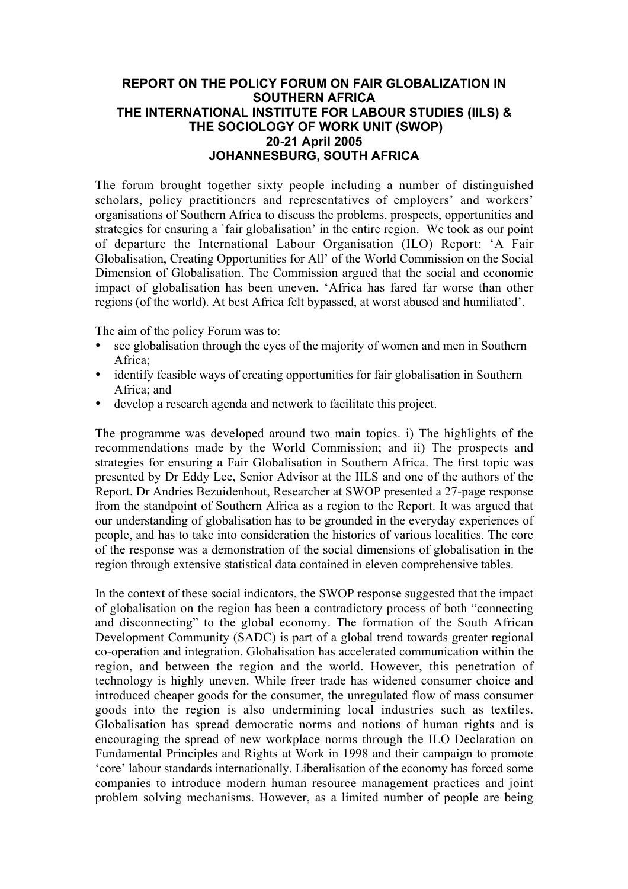## **REPORT ON THE POLICY FORUM ON FAIR GLOBALIZATION IN SOUTHERN AFRICA THE INTERNATIONAL INSTITUTE FOR LABOUR STUDIES (IILS) & THE SOCIOLOGY OF WORK UNIT (SWOP) 20-21 April 2005 JOHANNESBURG, SOUTH AFRICA**

The forum brought together sixty people including a number of distinguished scholars, policy practitioners and representatives of employers' and workers' organisations of Southern Africa to discuss the problems, prospects, opportunities and strategies for ensuring a `fair globalisation' in the entire region. We took as our point of departure the International Labour Organisation (ILO) Report: 'A Fair Globalisation, Creating Opportunities for All' of the World Commission on the Social Dimension of Globalisation. The Commission argued that the social and economic impact of globalisation has been uneven. 'Africa has fared far worse than other regions (of the world). At best Africa felt bypassed, at worst abused and humiliated'.

The aim of the policy Forum was to:

- see globalisation through the eyes of the majority of women and men in Southern Africa;
- identify feasible ways of creating opportunities for fair globalisation in Southern Africa; and
- develop a research agenda and network to facilitate this project.

The programme was developed around two main topics. i) The highlights of the recommendations made by the World Commission; and ii) The prospects and strategies for ensuring a Fair Globalisation in Southern Africa. The first topic was presented by Dr Eddy Lee, Senior Advisor at the IILS and one of the authors of the Report. Dr Andries Bezuidenhout, Researcher at SWOP presented a 27-page response from the standpoint of Southern Africa as a region to the Report. It was argued that our understanding of globalisation has to be grounded in the everyday experiences of people, and has to take into consideration the histories of various localities. The core of the response was a demonstration of the social dimensions of globalisation in the region through extensive statistical data contained in eleven comprehensive tables.

In the context of these social indicators, the SWOP response suggested that the impact of globalisation on the region has been a contradictory process of both "connecting and disconnecting" to the global economy. The formation of the South African Development Community (SADC) is part of a global trend towards greater regional co-operation and integration. Globalisation has accelerated communication within the region, and between the region and the world. However, this penetration of technology is highly uneven. While freer trade has widened consumer choice and introduced cheaper goods for the consumer, the unregulated flow of mass consumer goods into the region is also undermining local industries such as textiles. Globalisation has spread democratic norms and notions of human rights and is encouraging the spread of new workplace norms through the ILO Declaration on Fundamental Principles and Rights at Work in 1998 and their campaign to promote 'core' labour standards internationally. Liberalisation of the economy has forced some companies to introduce modern human resource management practices and joint problem solving mechanisms. However, as a limited number of people are being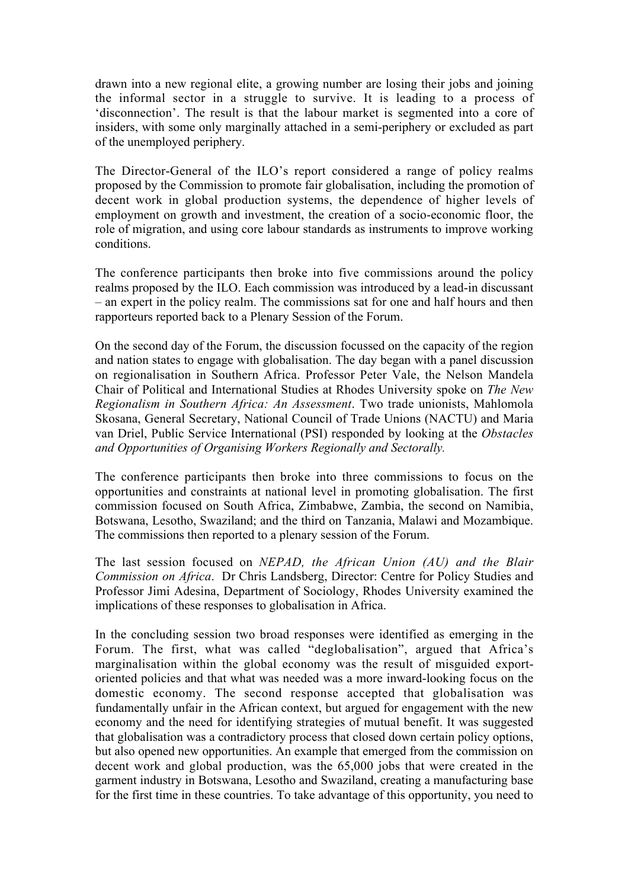drawn into a new regional elite, a growing number are losing their jobs and joining the informal sector in a struggle to survive. It is leading to a process of 'disconnection'. The result is that the labour market is segmented into a core of insiders, with some only marginally attached in a semi-periphery or excluded as part of the unemployed periphery.

The Director-General of the ILO's report considered a range of policy realms proposed by the Commission to promote fair globalisation, including the promotion of decent work in global production systems, the dependence of higher levels of employment on growth and investment, the creation of a socio-economic floor, the role of migration, and using core labour standards as instruments to improve working conditions.

The conference participants then broke into five commissions around the policy realms proposed by the ILO. Each commission was introduced by a lead-in discussant – an expert in the policy realm. The commissions sat for one and half hours and then rapporteurs reported back to a Plenary Session of the Forum.

On the second day of the Forum, the discussion focussed on the capacity of the region and nation states to engage with globalisation. The day began with a panel discussion on regionalisation in Southern Africa. Professor Peter Vale, the Nelson Mandela Chair of Political and International Studies at Rhodes University spoke on *The New Regionalism in Southern Africa: An Assessment*. Two trade unionists, Mahlomola Skosana, General Secretary, National Council of Trade Unions (NACTU) and Maria van Driel, Public Service International (PSI) responded by looking at the *Obstacles and Opportunities of Organising Workers Regionally and Sectorally.*

The conference participants then broke into three commissions to focus on the opportunities and constraints at national level in promoting globalisation. The first commission focused on South Africa, Zimbabwe, Zambia, the second on Namibia, Botswana, Lesotho, Swaziland; and the third on Tanzania, Malawi and Mozambique. The commissions then reported to a plenary session of the Forum.

The last session focused on *NEPAD, the African Union (AU) and the Blair Commission on Africa*. Dr Chris Landsberg, Director: Centre for Policy Studies and Professor Jimi Adesina, Department of Sociology, Rhodes University examined the implications of these responses to globalisation in Africa.

In the concluding session two broad responses were identified as emerging in the Forum. The first, what was called "deglobalisation", argued that Africa's marginalisation within the global economy was the result of misguided exportoriented policies and that what was needed was a more inward-looking focus on the domestic economy. The second response accepted that globalisation was fundamentally unfair in the African context, but argued for engagement with the new economy and the need for identifying strategies of mutual benefit. It was suggested that globalisation was a contradictory process that closed down certain policy options, but also opened new opportunities. An example that emerged from the commission on decent work and global production, was the 65,000 jobs that were created in the garment industry in Botswana, Lesotho and Swaziland, creating a manufacturing base for the first time in these countries. To take advantage of this opportunity, you need to